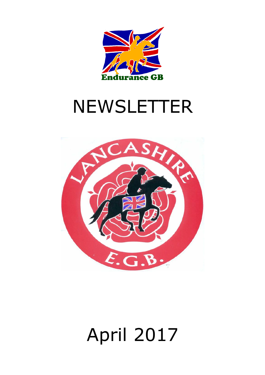

# **NEWSLETTER**



# April 2017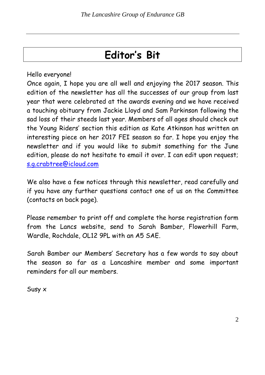# **Editor's Bit**

Hello everyone!

Once again, I hope you are all well and enjoying the 2017 season. This edition of the newsletter has all the successes of our group from last year that were celebrated at the awards evening and we have received a touching obituary from Jackie Lloyd and Sam Parkinson following the sad loss of their steeds last year. Members of all ages should check out the Young Riders' section this edition as Kate Atkinson has written an interesting piece on her 2017 FEI season so far. I hope you enjoy the newsletter and if you would like to submit something for the June edition, please do not hesitate to email it over. I can edit upon request; [s.g.crabtree@icloud.com](mailto:s.g.crabtree@icloud.com)

We also have a few notices through this newsletter, read carefully and if you have any further questions contact one of us on the Committee (contacts on back page).

Please remember to print off and complete the horse registration form from the Lancs website, send to Sarah Bamber, Flowerhill Farm, Wardle, Rochdale, OL12 9PL with an A5 SAE.

Sarah Bamber our Members' Secretary has a few words to say about the season so far as a Lancashire member and some important reminders for all our members.

Susy x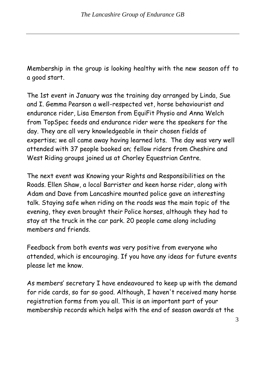Membership in the group is looking healthy with the new season off to a good start.

The 1st event in January was the training day arranged by Linda, Sue and I. Gemma Pearson a well-respected vet, horse behaviourist and endurance rider, Lisa Emerson from EquiFit Physio and Anna Welch from TopSpec feeds and endurance rider were the speakers for the day. They are all very knowledgeable in their chosen fields of expertise; we all came away having learned lots. The day was very well attended with 37 people booked on; fellow riders from Cheshire and West Riding groups joined us at Chorley Equestrian Centre.

The next event was Knowing your Rights and Responsibilities on the Roads. Ellen Shaw, a local Barrister and keen horse rider, along with Adam and Dave from Lancashire mounted police gave an interesting talk. Staying safe when riding on the roads was the main topic of the evening, they even brought their Police horses, although they had to stay at the truck in the car park. 20 people came along including members and friends.

Feedback from both events was very positive from everyone who attended, which is encouraging. If you have any ideas for future events please let me know.

As members' secretary I have endeavoured to keep up with the demand for ride cards, so far so good. Although, I haven't received many horse registration forms from you all. This is an important part of your membership records which helps with the end of season awards at the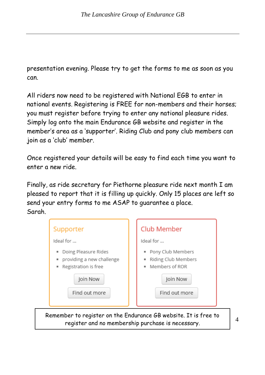presentation evening. Please try to get the forms to me as soon as you can.

All riders now need to be registered with National EGB to enter in national events. Registering is FREE for non-members and their horses; you must register before trying to enter any national pleasure rides. Simply log onto the main Endurance GB website and register in the member's area as a 'supporter'. Riding Club and pony club members can join as a 'club' member.

Once registered your details will be easy to find each time you want to enter a new ride.

Finally, as ride secretary for Piethorne pleasure ride next month I am pleased to report that it is filling up quickly. Only 15 places are left so send your entry forms to me ASAP to guarantee a place. Sarah.

| Supporter<br>Ideal for                                                                                               |  | Club Member<br>Ideal for                                                    |
|----------------------------------------------------------------------------------------------------------------------|--|-----------------------------------------------------------------------------|
| Doing Pleasure Rides<br>providing a new challenge<br>Registration is free<br>Join Now                                |  | Pony Club Members<br>٠<br>Riding Club Members<br>Members of ROR<br>Join Now |
| Find out more                                                                                                        |  | Find out more                                                               |
| Remember to register on the Endurance GB website. It is free to<br>register and no membership purchase is necessary. |  |                                                                             |

4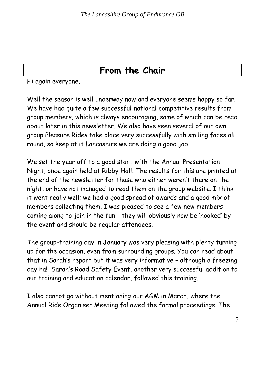# **From the Chair**

Hi again everyone,

Well the season is well underway now and everyone seems happy so far. We have had quite a few successful national competitive results from group members, which is always encouraging, some of which can be read about later in this newsletter. We also have seen several of our own group Pleasure Rides take place very successfully with smiling faces all round, so keep at it Lancashire we are doing a good job.

We set the year off to a good start with the Annual Presentation Night, once again held at Ribby Hall. The results for this are printed at the end of the newsletter for those who either weren't there on the night, or have not managed to read them on the group website. I think it went really well; we had a good spread of awards and a good mix of members collecting them. I was pleased to see a few new members coming along to join in the fun - they will obviously now be 'hooked' by the event and should be regular attendees.

The group-training day in January was very pleasing with plenty turning up for the occasion, even from surrounding groups. You can read about that in Sarah's report but it was very informative – although a freezing day ha! Sarah's Road Safety Event, another very successful addition to our training and education calendar, followed this training.

I also cannot go without mentioning our AGM in March, where the Annual Ride Organiser Meeting followed the formal proceedings. The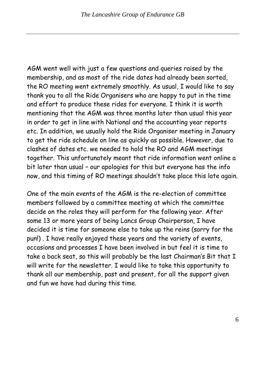AGM went well with just a few questions and queries raised by the membership, and as most of the ride dates had already been sorted, the RO meeting went extremely smoothly. As usual, I would like to say thank you to all the Ride Organisers who are happy to put in the time and effort to produce these rides for everyone. I think it is worth mentioning that the AGM was three months later than usual this year in order to get in line with National and the accounting year reports etc. In addition, we usually hold the Ride Organiser meeting in January to get the ride schedule on line as quickly as possible. However, due to clashes of dates etc. we needed to hold the RO and AGM meetings together. This unfortunately meant that ride information went online a bit later than usual – our apologies for this but everyone has the info now, and this timing of RO meetings shouldn't take place this late again.

One of the main events of the AGM is the re-election of committee members followed by a committee meeting at which the committee decide on the roles they will perform for the following year. After some 13 or more years of being Lancs Group Chairperson, I have decided it is time for someone else to take up the reins (sorry for the pun!) . I have really enjoyed these years and the variety of events, occasions and processes I have been involved in but feel it is time to take a back seat, so this will probably be the last Chairman's Bit that I will write for the newsletter. I would like to take this opportunity to thank all our membership, past and present, for all the support given and fun we have had during this time.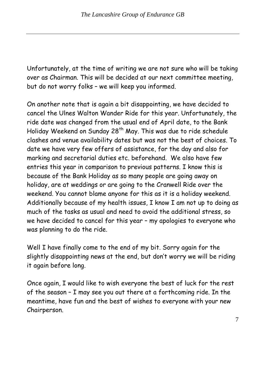Unfortunately, at the time of writing we are not sure who will be taking over as Chairman. This will be decided at our next committee meeting, but do not worry folks – we will keep you informed.

On another note that is again a bit disappointing, we have decided to cancel the Ulnes Walton Wander Ride for this year. Unfortunately, the ride date was changed from the usual end of April date, to the Bank Holiday Weekend on Sunday 28<sup>th</sup> May. This was due to ride schedule clashes and venue availability dates but was not the best of choices. To date we have very few offers of assistance, for the day and also for marking and secretarial duties etc. beforehand. We also have few entries this year in comparison to previous patterns. I know this is because of the Bank Holiday as so many people are going away on holiday, are at weddings or are going to the Cranwell Ride over the weekend. You cannot blame anyone for this as it is a holiday weekend. Additionally because of my health issues, I know I am not up to doing as much of the tasks as usual and need to avoid the additional stress, so we have decided to cancel for this year – my apologies to everyone who was planning to do the ride.

Well I have finally come to the end of my bit. Sorry again for the slightly disappointing news at the end, but don't worry we will be riding it again before long.

Once again, I would like to wish everyone the best of luck for the rest of the season – I may see you out there at a forthcoming ride. In the meantime, have fun and the best of wishes to everyone with your new Chairperson.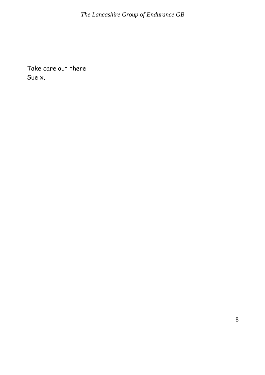Take care out there Sue x.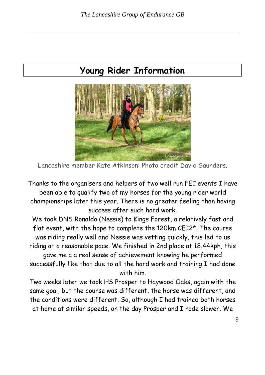# **Young Rider Information**



Lancashire member Kate Atkinson: Photo credit David Saunders.

Thanks to the organisers and helpers of two well run FEI events I have been able to qualify two of my horses for the young rider world championships later this year. There is no greater feeling than having success after such hard work.

We took DNS Ronaldo (Nessie) to Kings Forest, a relatively fast and flat event, with the hope to complete the 120km CEI2\*. The course was riding really well and Nessie was vetting quickly, this led to us riding at a reasonable pace. We finished in 2nd place at 18.44kph, this gave me a a real sense of achievement knowing he performed successfully like that due to all the hard work and training I had done with him.

Two weeks later we took HS Prosper to Haywood Oaks, again with the same goal, but the course was different, the horse was different, and the conditions were different. So, although I had trained both horses at home at similar speeds, on the day Prosper and I rode slower. We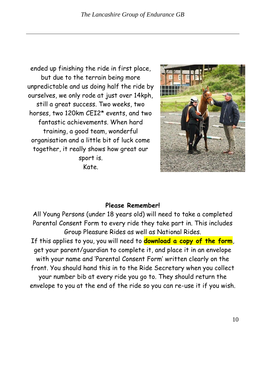ended up finishing the ride in first place, but due to the terrain being more unpredictable and us doing half the ride by ourselves, we only rode at just over 14kph, still a great success. Two weeks, two horses, two 120km CEI2\* events, and two fantastic achievements. When hard training, a good team, wonderful organisation and a little bit of luck come together, it really shows how great our sport is. Kate.



#### **Please Remember!**

All Young Persons (under 18 years old) will need to take a completed Parental Consent Form to every ride they take part in. This includes Group Pleasure Rides as well as National Rides.

If this applies to you, you will need to **[download a copy of the form](http://www.lancs-egb.org.uk/wp-content/uploads/2013/10/Parentalconsentrides.pdf)**, get your parent/guardian to complete it, and place it in an envelope with your name and 'Parental Consent Form' written clearly on the front. You should hand this in to the Ride Secretary when you collect your number bib at every ride you go to. They should return the envelope to you at the end of the ride so you can re-use it if you wish.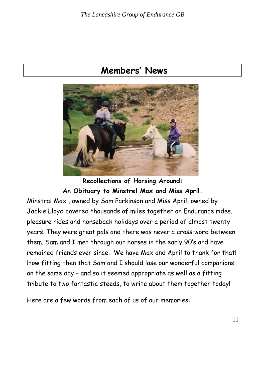# **Members' News**



**Recollections of Horsing Around: An Obituary to Minstrel Max and Miss April.**

Minstral Max , owned by Sam Parkinson and Miss April, owned by Jackie Lloyd covered thousands of miles together on Endurance rides, pleasure rides and horseback holidays over a period of almost twenty years. They were great pals and there was never a cross word between them. Sam and I met through our horses in the early 90's and have remained friends ever since. We have Max and April to thank for that! How fitting then that Sam and I should lose our wonderful companions on the same day – and so it seemed appropriate as well as a fitting tribute to two fantastic steeds, to write about them together today!

Here are a few words from each of us of our memories: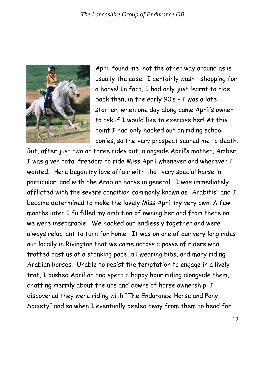

April found me, not the other way around as is usually the case. I certainly wasn't shopping for a horse! In fact, I had only just learnt to ride back then, in the early 90's – I was a late starter; when one day along came April's owner to ask if I would like to exercise her! At this point I had only hacked out on riding school ponies, so the very prospect scared me to death.

But, after just two or three rides out, alongside April's mother, Amber, I was given total freedom to ride Miss April whenever and wherever I wanted. Here began my love affair with that very special horse in particular, and with the Arabian horse in general. I was immediately afflicted with the severe condition commonly known as "Arabitis" and I became determined to make the lovely Miss April my very own. A few months later I fulfilled my ambition of owning her and from there on we were inseparable. We hacked out endlessly together and were always reluctant to turn for home. It was on one of our very long rides out locally in Rivington that we came across a posse of riders who trotted past us at a stonking pace, all wearing bibs, and many riding Arabian horses. Unable to resist the temptation to engage in a lively trot, I pushed April on and spent a happy hour riding alongside them, chatting merrily about the ups and downs of horse ownership. I discovered they were riding with "The Endurance Horse and Pony Society" and so when I eventually peeled away from them to head for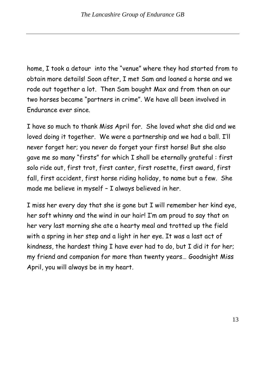home, I took a detour into the "venue" where they had started from to obtain more details! Soon after, I met Sam and loaned a horse and we rode out together a lot. Then Sam bought Max and from then on our two horses became "partners in crime". We have all been involved in Endurance ever since.

I have so much to thank Miss April for. She loved what she did and we loved doing it together. We were a partnership and we had a ball. I'll never forget her; you never do forget your first horse! But she also gave me so many "firsts" for which I shall be eternally grateful : first solo ride out, first trot, first canter, first rosette, first award, first fall, first accident, first horse riding holiday, to name but a few. She made me believe in myself – I always believed in her.

I miss her every day that she is gone but I will remember her kind eye, her soft whinny and the wind in our hair! I'm am proud to say that on her very last morning she ate a hearty meal and trotted up the field with a spring in her step and a light in her eye. It was a last act of kindness, the hardest thing I have ever had to do, but I did it for her; my friend and companion for more than twenty years… Goodnight Miss April, you will always be in my heart.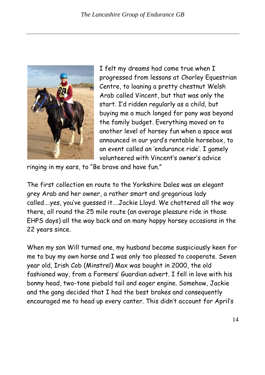

I felt my dreams had come true when I progressed from lessons at Chorley Equestrian Centre, to loaning a pretty chestnut Welsh Arab called Vincent, but that was only the start. I'd ridden regularly as a child, but buying me a much longed for pony was beyond the family budget. Everything moved on to another level of horsey fun when a space was announced in our yard's rentable horsebox, to an event called an 'endurance ride'. I gamely volunteered with Vincent's owner's advice

ringing in my ears, to "Be brave and have fun."

The first collection en route to the Yorkshire Dales was an elegant grey Arab and her owner, a rather smart and gregarious lady called….yes, you've guessed it….Jackie Lloyd. We chattered all the way there, all round the 25 mile route (an average pleasure ride in those EHPS days) all the way back and on many happy horsey occasions in the 22 years since.

When my son Will turned one, my husband became suspiciously keen for me to buy my own horse and I was only too pleased to cooperate. Seven year old, Irish Cob (Minstrel) Max was bought in 2000, the old fashioned way, from a Farmers' Guardian advert. I fell in love with his bonny head, two-tone piebald tail and eager engine. Somehow, Jackie and the gang decided that I had the best brakes and consequently encouraged me to head up every canter. This didn't account for April's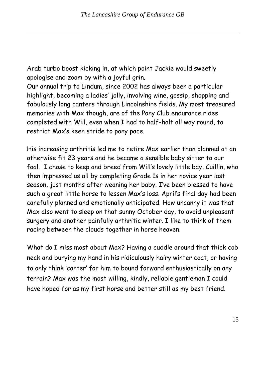Arab turbo boost kicking in, at which point Jackie would sweetly apologise and zoom by with a joyful grin.

Our annual trip to Lindum, since 2002 has always been a particular highlight, becoming a ladies' jolly, involving wine, gossip, shopping and fabulously long canters through Lincolnshire fields. My most treasured memories with Max though, are of the Pony Club endurance rides completed with Will, even when I had to half-halt all way round, to restrict Max's keen stride to pony pace.

His increasing arthritis led me to retire Max earlier than planned at an otherwise fit 23 years and he became a sensible baby sitter to our foal. I chose to keep and breed from Will's lovely little bay, Cuillin, who then impressed us all by completing Grade 1s in her novice year last season, just months after weaning her baby. I've been blessed to have such a great little horse to lessen Max's loss. April's final day had been carefully planned and emotionally anticipated. How uncanny it was that Max also went to sleep on that sunny October day, to avoid unpleasant surgery and another painfully arthritic winter. I like to think of them racing between the clouds together in horse heaven.

What do I miss most about Max? Having a cuddle around that thick cob neck and burying my hand in his ridiculously hairy winter coat, or having to only think 'canter' for him to bound forward enthusiastically on any terrain? Max was the most willing, kindly, reliable gentleman I could have hoped for as my first horse and better still as my best friend.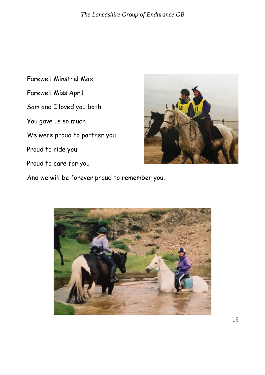Farewell Minstrel Max Farewell Miss April Sam and I loved you both You gave us so much We were proud to partner you Proud to ride you Proud to care for you And we will be forever proud to remember you.



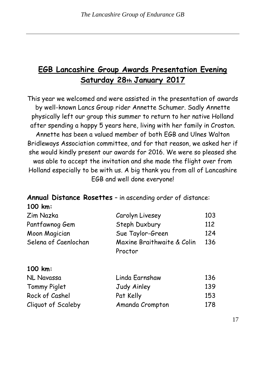# **EGB Lancashire Group Awards Presentation Evening Saturday 28th January 2017**

This year we welcomed and were assisted in the presentation of awards by well-known Lancs Group rider Annette Schumer. Sadly Annette physically left our group this summer to return to her native Holland after spending a happy 5 years here, living with her family in Croston. Annette has been a valued member of both EGB and Ulnes Walton Bridleways Association committee, and for that reason, we asked her if she would kindly present our awards for 2016. We were so pleased she was able to accept the invitation and she made the flight over from Holland especially to be with us. A big thank you from all of Lancashire EGB and well done everyone!

## **Annual Distance Rosettes** – in ascending order of distance: **100 km:**

| Zim Nazka            | Carolyn Livesey                       | 103 |
|----------------------|---------------------------------------|-----|
| Pantfawnog Gem       | Steph Duxbury                         | 112 |
| Moon Magician        | Sue Taylor-Green                      | 124 |
| Selena of Caenlochan | Maxine Braithwaite & Colin<br>Proctor | 136 |

| $\sim$ $\sim$ $\sim$ $\sim$ |                 |     |
|-----------------------------|-----------------|-----|
| NL Navassa                  | Linda Earnshaw  | 136 |
| Tommy Piglet                | Judy Ainley     | 139 |
| Rock of Cashel              | Pat Kelly       | 153 |
| Cliquot of Scaleby          | Amanda Crompton | 178 |
|                             |                 |     |

**100 km:**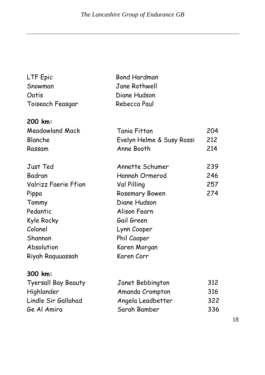| LTF Epic                    | <b>Bond Hardman</b>       |     |
|-----------------------------|---------------------------|-----|
| Snowman                     | Jane Rothwell             |     |
| Oatis                       | Diane Hudson              |     |
| Toiseach Feasgar            | Rebecca Paul              |     |
| 200 km:                     |                           |     |
| Meadowland Mack             | Tania Fitton              | 204 |
| Blanche                     | Evelyn Helme & Susy Rossi | 212 |
| Rassam                      | Anne Booth                | 214 |
| Just Ted                    | Annette Schumer           | 239 |
| Badran                      | Hannah Ormerod            | 246 |
| <b>Valrizz Faerie Ffion</b> | Val Pilling               | 257 |
| Pippa                       | Rosemary Bowen            | 274 |
| Tommy                       | Diane Hudson              |     |
| Pedantic                    | Alison Fearn              |     |
| Kyle Rocky                  | Gail Green                |     |
| Colonel                     | Lynn Cooper               |     |
| Shannon                     | Phil Cooper               |     |
| Absolution                  | Karen Morgan              |     |
| Riyah Raguuassah            | Karen Corr                |     |
| 300 km:                     |                           |     |
| <b>Tyersall Bay Beauty</b>  | Janet Bebbington          | 312 |
| Highlander                  | Amanda Crompton           | 316 |
| Lindle Sir Gallahad         | Angela Leadbetter         | 322 |
| Ge Al Amira                 | Sarah Bamber              | 336 |
|                             |                           |     |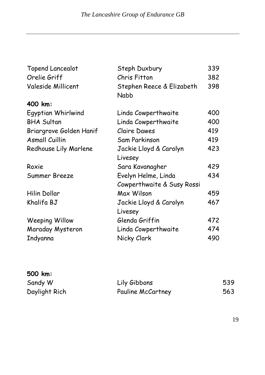| Topend Lancealot        | Steph Duxbury                     | 339 |
|-------------------------|-----------------------------------|-----|
| Orelie Griff            | Chris Fitton                      | 382 |
| Valeside Millicent      | Stephen Reece & Elizabeth<br>Nabb | 398 |
| 400 km:                 |                                   |     |
| Egyptian Whirlwind      | Linda Cowperthwaite               | 400 |
| <b>BHA Sultan</b>       | Linda Cowperthwaite               | 400 |
| Briargrove Golden Hanif | <b>Claire Dawes</b>               | 419 |
| <b>Asmall Cuillin</b>   | Sam Parkinson                     | 419 |
| Redhouse Lily Marlene   | Jackie Lloyd & Carolyn            | 423 |
|                         | Livesey                           |     |
| Roxie                   | Sara Kavanagher                   | 429 |
| Summer Breeze           | Evelyn Helme, Linda               | 434 |
|                         | Cowperthwaite & Susy Rossi        |     |
| Hilin Dollar            | Max Wilson                        | 459 |
| Khalifa BJ              | Jackie Lloyd & Carolyn            | 467 |
|                         | Livesey                           |     |
| <b>Weeping Willow</b>   | Glenda Griffin                    | 472 |
| Maraday Mysteron        | Linda Cowperthwaite               | 474 |
| Indyanna                | Nicky Clark                       | 490 |

| 500 km:       |                   |     |
|---------------|-------------------|-----|
| Sandy W       | Lily Gibbons      | 539 |
| Daylight Rich | Pauline McCartney | 563 |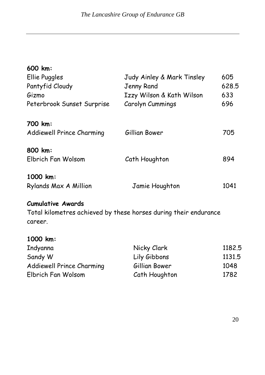| 600 km:                    |                            |       |
|----------------------------|----------------------------|-------|
| Ellie Puggles              | Judy Ainley & Mark Tinsley | 605   |
| Pantyfid Cloudy            | Jenny Rand                 | 628.5 |
| Gizmo                      | Izzy Wilson & Kath Wilson  | 633   |
| Peterbrook Sunset Surprise | Carolyn Cummings           | 696   |
|                            |                            |       |
| 700 km:                    |                            |       |
| Addiewell Prince Charming  | Gillian Bower              | 705   |
|                            |                            |       |
| 800 km:                    |                            |       |
| Elbrich Fan Wolsom         | Cath Houghton              | 894   |
|                            |                            |       |
| 1000 km:                   |                            |       |
| Rylands Max A Million      | Jamie Houghton             | 1041  |

#### **Cumulative Awards**

Total kilometres achieved by these horses during their endurance career.

#### **1000 km:**

| Indyanna                  | Nicky Clark   | 1182.5 |
|---------------------------|---------------|--------|
| Sandy W                   | Lily Gibbons  | 1131.5 |
| Addiewell Prince Charming | Gillian Bower | 1048   |
| Elbrich Fan Wolsom        | Cath Houghton | 1782   |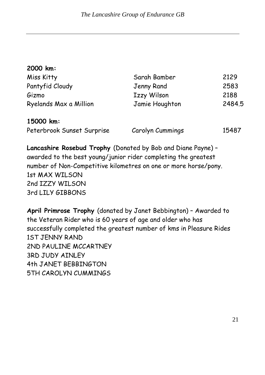| 2000 km:                   |                  |        |
|----------------------------|------------------|--------|
| Miss Kitty                 | Sarah Bamber     | 2129   |
| Pantyfid Cloudy            | Jenny Rand       | 2583   |
| Gizmo                      | Izzy Wilson      | 2188   |
| Ryelands Max a Million     | Jamie Houghton   | 2484.5 |
| 15000 km:                  |                  |        |
| Peterbrook Sunset Surprise | Carolyn Cummings | 15487  |

**Lancashire Rosebud Trophy** (Donated by Bob and Diane Payne) – awarded to the best young/junior rider completing the greatest number of Non-Competitive kilometres on one or more horse/pony. 1st MAX WILSON 2nd IZZY WILSON 3rd LILY GIBBONS

**April Primrose Trophy** (donated by Janet Bebbington) – Awarded to the Veteran Rider who is 60 years of age and older who has successfully completed the greatest number of kms in Pleasure Rides 1ST JENNY RAND 2ND PAULINE MCCARTNEY 3RD JUDY AINLEY 4th JANET BEBBINGTON 5TH CAROLYN CUMMINGS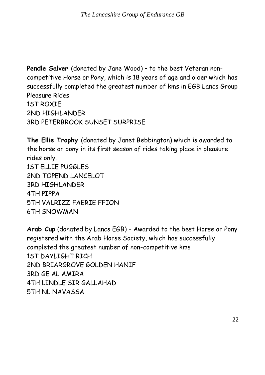**Pendle Salver** (donated by Jane Wood) – to the best Veteran noncompetitive Horse or Pony, which is 18 years of age and older which has successfully completed the greatest number of kms in EGB Lancs Group Pleasure Rides 1ST ROXIE 2ND HIGHLANDER 3RD PETERBROOK SUNSET SURPRISE

**The Ellie Trophy** (donated by Janet Bebbington) which is awarded to the horse or pony in its first season of rides taking place in pleasure rides only. 1ST ELLIE PUGGLES 2ND TOPEND LANCELOT 3RD HIGHLANDER 4TH PIPPA 5TH VALRIZZ FAERIE FFION 6TH SNOWMAN

**Arab Cup** (donated by Lancs EGB) – Awarded to the best Horse or Pony registered with the Arab Horse Society, which has successfully completed the greatest number of non-competitive kms 1ST DAYLIGHT RICH 2ND BRIARGROVE GOLDEN HANIF 3RD GE AL AMIRA 4TH LINDLE SIR GALLAHAD 5TH NL NAVASSA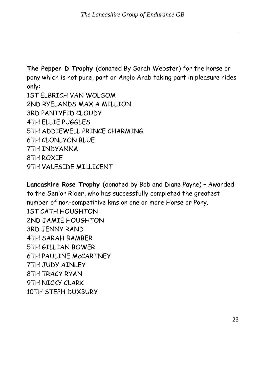**The Pepper D Trophy** (donated By Sarah Webster) for the horse or pony which is not pure, part or Anglo Arab taking part in pleasure rides only:

1ST ELBRICH VAN WOLSOM 2ND RYELANDS MAX A MILLION 3RD PANTYFID CLOUDY 4TH ELLIE PUGGLES 5TH ADDIEWELL PRINCE CHARMING 6TH CLONLYON BLUE 7TH INDYANNA 8TH ROXIE 9TH VALESIDE MILLICENT

**Lancashire Rose Trophy** (donated by Bob and Diane Payne) – Awarded to the Senior Rider, who has successfully completed the greatest number of non-competitive kms on one or more Horse or Pony. 1ST CATH HOUGHTON 2ND JAMIE HOUGHTON 3RD JENNY RAND 4TH SARAH BAMBER 5TH GILLIAN BOWER 6TH PAULINE McCARTNEY 7TH JUDY AINLEY 8TH TRACY RYAN 9TH NICKY CLARK 10TH STEPH DUXBURY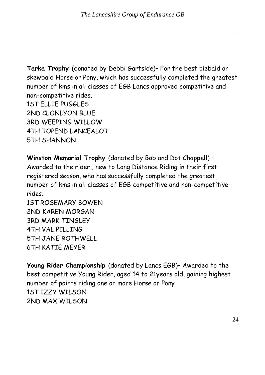**Tarka Trophy** (donated by Debbi Gartside)– For the best piebald or skewbald Horse or Pony, which has successfully completed the greatest number of kms in all classes of EGB Lancs approved competitive and non-competitive rides. 1ST ELLIE PUGGLES 2ND CLONLYON BLUE 3RD WEEPING WILLOW 4TH TOPEND LANCEALOT 5TH SHANNON

**Winston Memorial Trophy** (donated by Bob and Dot Chappell) – Awarded to the rider,, new to Long Distance Riding in their first registered season, who has successfully completed the greatest number of kms in all classes of EGB competitive and non-competitive rides.

1ST ROSEMARY BOWEN 2ND KAREN MORGAN 3RD MARK TINSLEY 4TH VAL PILLING 5TH JANE ROTHWELL 6TH KATIE MEYER

**Young Rider Championship** (donated by Lancs EGB)– Awarded to the best competitive Young Rider, aged 14 to 21years old, gaining highest number of points riding one or more Horse or Pony 1ST IZZY WILSON 2ND MAX WILSON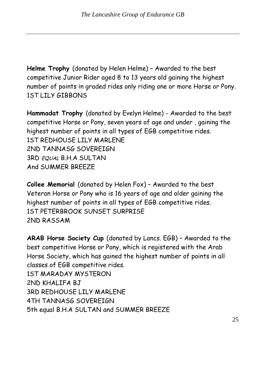**Helme Trophy** (donated by Helen Helme) – Awarded to the best competitive Junior Rider aged 8 to 13 years old gaining the highest number of points in graded rides only riding one or more Horse or Pony. 1ST LILY GIBBONS

**Hammadat Trophy** (donated by Evelyn Helme) - Awarded to the best competitive Horse or Pony, seven years of age and under , gaining the highest number of points in all types of EGB competitive rides. 1ST REDHOUSE LILY MARLENE 2ND TANNASG SOVEREIGN 3RD EQUAL B.H.A SULTAN And SUMMER BREEZE

**Collee Memorial** (donated by Helen Fox) – Awarded to the best Veteran Horse or Pony who is 16 years of age and older gaining the highest number of points in all types of EGB competitive rides. 1ST PETERBROOK SUNSET SURPRISE 2ND RASSAM

**ARAB Horse Society Cup** (donated by Lancs. EGB) – Awarded to the best competitive Horse or Pony, which is registered with the Arab Horse Society, which has gained the highest number of points in all classes of EGB competitive rides. 1ST MARADAY MYSTERON 2ND KHALIFA BJ 3RD REDHOUSE LILY MARLENE 4TH TANNASG SOVEREIGN 5th equal B.H.A SULTAN and SUMMER BREEZE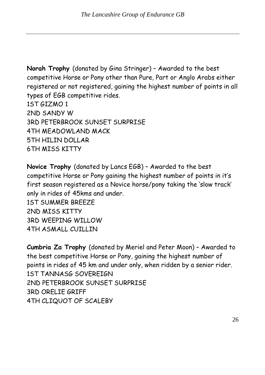**Norah Trophy** (donated by Gina Stringer) – Awarded to the best competitive Horse or Pony other than Pure, Part or Anglo Arabs either registered or not registered, gaining the highest number of points in all types of EGB competitive rides. 1ST GIZMO 1 2ND SANDY W 3RD PETERBROOK SUNSET SURPRISE 4TH MEADOWLAND MACK 5TH HILIN DOLLAR

**Novice Trophy** (donated by Lancs EGB) – Awarded to the best competitive Horse or Pony gaining the highest number of points in it's first season registered as a Novice horse/pony taking the 'slow track' only in rides of 45kms and under. 1ST SUMMER BREEZE 2ND MISS KITTY 3RD WEEPING WILLOW

4TH ASMALL CUILLIN

6TH MISS KITTY

**Cumbria Za Trophy** (donated by Meriel and Peter Moon) – Awarded to the best competitive Horse or Pony, gaining the highest number of points in rides of 45 km and under only, when ridden by a senior rider. 1ST TANNASG SOVEREIGN 2ND PETERBROOK SUNSET SURPRISE 3RD ORELIE GRIFF 4TH CLIQUOT OF SCALEBY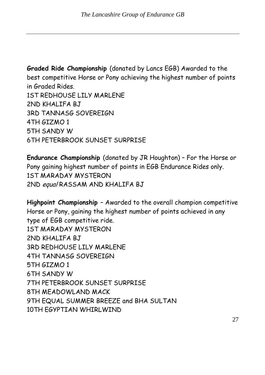**Graded Ride Championship** (donated by Lancs EGB) Awarded to the best competitive Horse or Pony achieving the highest number of points in Graded Rides. 1ST REDHOUSE LILY MARLENE 2ND KHALIFA BJ 3RD TANNASG SOVEREIGN 4TH GIZMO 1 5TH SANDY W 6TH PETERBROOK SUNSET SURPRISE

**Endurance Championship** (donated by JR Houghton) – For the Horse or Pony gaining highest number of points in EGB Endurance Rides only. 1ST MARADAY MYSTERON 2ND equal RASSAM AND KHALIFA BJ

**Highpoint Championship** – Awarded to the overall champion competitive Horse or Pony, gaining the highest number of points achieved in any type of EGB competitive ride. 1ST MARADAY MYSTERON 2ND KHAI TFA BJ 3RD REDHOUSE LILY MARLENE 4TH TANNASG SOVEREIGN 5TH GIZMO 1 6TH SANDY W 7TH PETERBROOK SUNSET SURPRISE 8TH MEADOWLAND MACK 9TH EQUAL SUMMER BREEZE and BHA SULTAN 10TH EGYPTIAN WHIRLWIND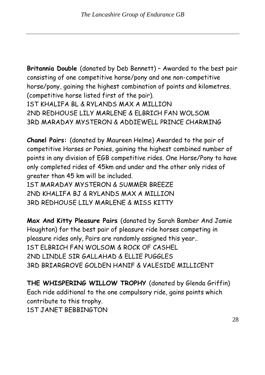**Britannia Double** (donated by Deb Bennett) – Awarded to the best pair consisting of one competitive horse/pony and one non-competitive horse/pony, gaining the highest combination of points and kilometres. (competitive horse listed first of the pair). 1ST KHALIFA BL & RYLANDS MAX A MILLION 2ND REDHOUSE LILY MARLENE & ELBRICH FAN WOLSOM 3RD MARADAY MYSTERON & ADDIEWELL PRINCE CHARMING

**Chanel Pairs:** (donated by Maureen Helme) Awarded to the pair of competitive Horses or Ponies, gaining the highest combined number of points in any division of EGB competitive rides. One Horse/Pony to have only completed rides of 45km and under and the other only rides of greater than 45 km will be included.

1ST MARADAY MYSTERON & SUMMER BREEZE 2ND KHALIFA BJ & RYLANDS MAX A MILLION 3RD REDHOUSE LILY MARLENE & MISS KITTY

**Max And Kitty Pleasure Pairs** (donated by Sarah Bamber And Jamie Houghton) for the best pair of pleasure ride horses competing in pleasure rides only, Pairs are randomly assigned this year.. 1ST ELBRICH FAN WOLSOM & ROCK OF CASHEL 2ND LINDLE SIR GALLAHAD & ELLIE PUGGLES 3RD BRIARGROVE GOLDEN HANIF & VALESIDE MILLICENT

**THE WHISPERING WILLOW TROPHY** (donated by Glenda Griffin) Each ride additional to the one compulsory ride, gains points which contribute to this trophy. 1ST JANET BEBBINGTON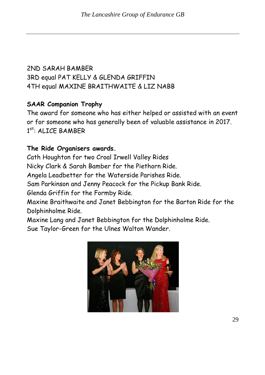## 2ND SARAH BAMBER 3RD equal PAT KELLY & GLENDA GRIFFIN 4TH equal MAXINE BRAITHWAITE & LIZ NABB

#### **SAAR Companion Trophy**

The award for someone who has either helped or assisted with an event or for someone who has generally been of valuable assistance in 2017. 1 st: ALICE BAMBER

#### **The Ride Organisers awards.**

Cath Houghton for two Croal Irwell Valley Rides Nicky Clark & Sarah Bamber for the Piethorn Ride. Angela Leadbetter for the Waterside Parishes Ride. Sam Parkinson and Jenny Peacock for the Pickup Bank Ride. Glenda Griffin for the Formby Ride. Maxine Braithwaite and Janet Bebbington for the Barton Ride for the

Dolphinholme Ride.

Maxine Lang and Janet Bebbington for the Dolphinholme Ride.

Sue Taylor-Green for the Ulnes Walton Wander.

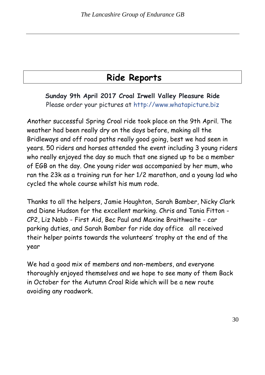# **Ride Reports**

**Sunday 9th April 2017 Croal Irwell Valley Pleasure Ride** Please order your pictures at [http://www.whatapicture.biz](http://www.whatapicture.biz/)

Another successful Spring Croal ride took place on the 9th April. The weather had been really dry on the days before, making all the Bridleways and off road paths really good going, best we had seen in years. 50 riders and horses attended the event including 3 young riders who really enjoyed the day so much that one signed up to be a member of EGB on the day. One young rider was accompanied by her mum, who ran the 23k as a training run for her 1/2 marathon, and a young lad who cycled the whole course whilst his mum rode.

Thanks to all the helpers, Jamie Houghton, Sarah Bamber, Nicky Clark and Diane Hudson for the excellent marking. Chris and Tania Fitton - CP2, Liz Nabb - First Aid, Bec Paul and Maxine Braithwaite - car parking duties, and Sarah Bamber for ride day office all received their helper points towards the volunteers' trophy at the end of the year

We had a good mix of members and non-members, and everyone thoroughly enjoyed themselves and we hope to see many of them Back in October for the Autumn Croal Ride which will be a new route avoiding any roadwork.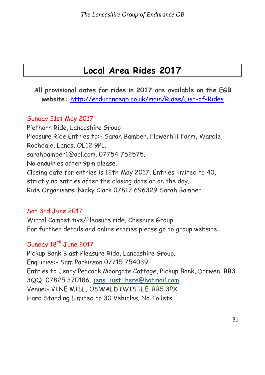# **Local Area Rides 2017**

**All provisional dates for rides in 2017 are available on the EGB website:** <http://endurancegb.co.uk/main/Rides/List-of-Rides>

#### Sunday 21st May 2017

Piethorn Ride, Lancashire Group Pleasure Ride Entries to:- Sarah Bamber, Flowerhill Farm, Wardle, Rochdale, Lancs, OL12 9PL. sarahbamber1@aol.com. 07754 752575. No enquiries after 9pm please. Closing date for entries is 12th May 2017. Entries limited to 40, strictly no entries after the closing date or on the day. Ride Organisers: Nicky Clark 07817 696329 Sarah Bamber

#### Sat 3rd June 2017

Wirral Competitive/Pleasure ride, Cheshire Group For further details and online entries please go to group website.

## Sunday 18<sup>th</sup> June 2017

Pickup Bank Blast Pleasure Ride, Lancashire Group. Enquiries:- Sam Parkinson 07715 754039 Entries to Jenny Peacock Moorgate Cottage, Pickup Bank, Darwen, BB3 3QQ 07825 370186. jens\_just\_here@hotmail.com Venue:- VINE MILL, OSWALDTWISTLE. BB5 3PX Hard Standing Limited to 30 Vehicles. No Toilets.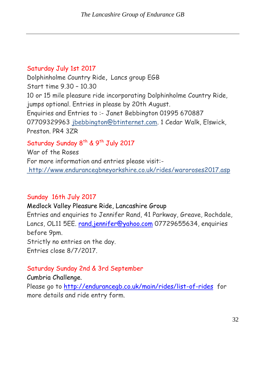## Saturday July 1st 2017

Dolphinholme Country Ride**,** Lancs group EGB Start time 9.30 – 10.30 10 or 15 mile pleasure ride incorporating Dolphinholme Country Ride, jumps optional. Entries in please by 20th August. Enquiries and Entries to :- Janet Bebbington 01995 670887 07709329963 jbebbington@btinternet.com. 1 Cedar Walk, Elswick, Preston. PR4 3ZR

# Saturday Sunday 8<sup>th</sup> & 9<sup>th</sup> July 2017

War of the Roses For more information and entries please visit: http://www.endurancegbneyorkshire.co.uk/rides/waroroses2017.asp

## Sunday 16th July 2017

## Medlock Valley Pleasure Ride, Lancashire Group

Entries and enquiries to Jennifer Rand, 41 Parkway, Greave, Rochdale, Lancs, OL11 5EE, [rand.jennifer@yahoo.com](mailto:rand.jennifer@yahoo.com) 07729655634, enquiries before 9pm. Strictly no entries on the day.

Entries close 8/7/2017.

## Saturday Sunday 2nd & 3rd September

#### Cumbria Challenge.

Please go to <http://endurancegb.co.uk/main/rides/list-of-rides>for more details and ride entry form.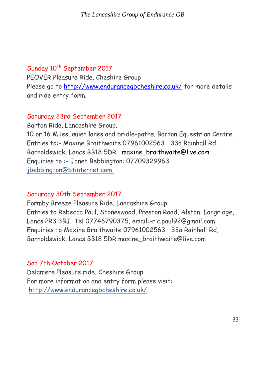#### Sunday 10<sup>th</sup> September 2017

PEOVER Pleasure Ride, Cheshire Group Please go to<http://www.endurancegbcheshire.co.uk/> for more details and ride entry form.

#### Saturday 23rd September 2017

Barton Ride. Lancashire Group. 10 or 16 Miles, quiet lanes and bridle-paths. Barton Equestrian Centre. Entries to:- Maxine Braithwaite 07961002563 33a Rainhall Rd, Barnoldswick, Lancs BB18 5DR. maxine\_braithwaite@live.com Enquiries to :- Janet Bebbington: 07709329963 jbebbington@btinternet.com.

#### Saturday 30th September 2017

Formby Breeze Pleasure Ride, Lancashire Group. Entries to Rebecca Paul, Stoneswood, Preston Road, Alston, Longridge, Lancs PR3 3BJ Tel 07746790375, email:-r.c.paul92@gmail.com Enquiries to Maxine Braithwaite 07961002563 33a Rainhall Rd, Barnoldswick, Lancs BB18 5DR maxine\_braithwaite@live.com

#### Sat 7th October 2017

Delamere Pleasure ride, Cheshire Group For more information and entry form please visit: <http://www.endurancegbcheshire.co.uk/>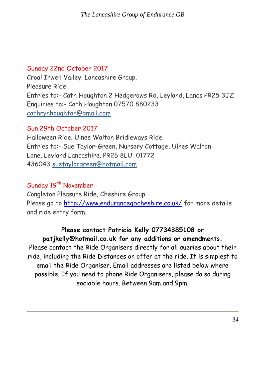#### Sunday 22nd October 2017

Croal Irwell Valley. Lancashire Group. Pleasure Ride Entries to:- Cath Houghton 2 Hedgerows Rd, Leyland, Lancs PR25 3JZ Enquiries to:- Cath Houghton 07570 880233 cathrynhoughton@gmail.com

## Sun 29th October 2017

Halloween Ride. Ulnes Walton Bridleways Ride. Entries to:- Sue Taylor-Green, Nursery Cottage, Ulnes Walton Lane, Leyland Lancashire. PR26 8LU 01772 436043 [suetaylorgreen@hotmail.com](mailto:suetaylorgreen@hotmail.com)

## Sunday 19<sup>th</sup> November

Congleton Pleasure Ride, Cheshire Group Please go to<http://www.endurancegbcheshire.co.uk/> for more details and ride entry form.

#### **Please contact Patricia Kelly 07734385108 or patjkelly@hotmail.co.uk for any additions or amendments.**

Please contact the Ride Organisers directly for all queries about their ride, including the Ride Distances on offer at the ride. It is simplest to email the Ride Organiser. Email addresses are listed below where possible. If you need to phone Ride Organisers, please do so during sociable hours. Between 9am and 9pm.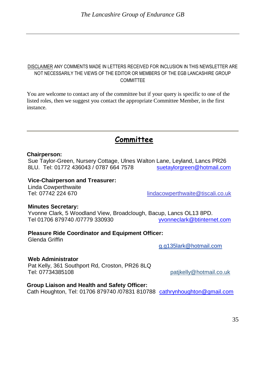#### DISCLAIMER ANY COMMENTS MADE IN LETTERS RECEIVED FOR INCLUSION IN THIS NEWSLETTER ARE NOT NECESSARILY THE VIEWS OF THE EDITOR OR MEMBERS OF THE EGB LANCASHIRE GROUP COMMITTEE

You are welcome to contact any of the committee but if your query is specific to one of the listed roles, then we suggest you contact the appropriate Committee Member, in the first instance.

# **Committee**

#### **Chairperson:**

Sue Taylor-Green, Nursery Cottage, Ulnes Walton Lane, Leyland, Lancs PR26 8LU. Tel: 01772 436043 / 0787 664 7578 [suetaylorgreen@hotmail.com](mailto:suetaylorgreen@hotmail.com) 

#### **Vice-Chairperson and Treasurer:**

Linda Cowperthwaite

Tel: 07742 224 670 [lindacowperthwaite@tiscali.co.uk](mailto:)

#### **Minutes Secretary:**

Yvonne Clark, 5 Woodland View, Broadclough, Bacup, Lancs OL13 8PD.<br>Tel 01706 879740 /07779 330930 vonneclark@btinternet.com Tel 01706 879740 /07779 330930

#### **Pleasure Ride Coordinator and Equipment Officer:**

Glenda Griffin

g.g135lark@hotmail.com

#### **Web Administrator**

Pat Kelly, 361 Southport Rd, Croston, PR26 8LQ Tel: 07734385108[patjkelly@hotmail.co.uk](mailto:)

#### **Group Liaison and Health and Safety Officer:**

Cath Houghton, Tel: 01706 879740 /07831 810788 [cathrynhoughton@gmail.com](mailto:cathrynhoughton@gmail.com)